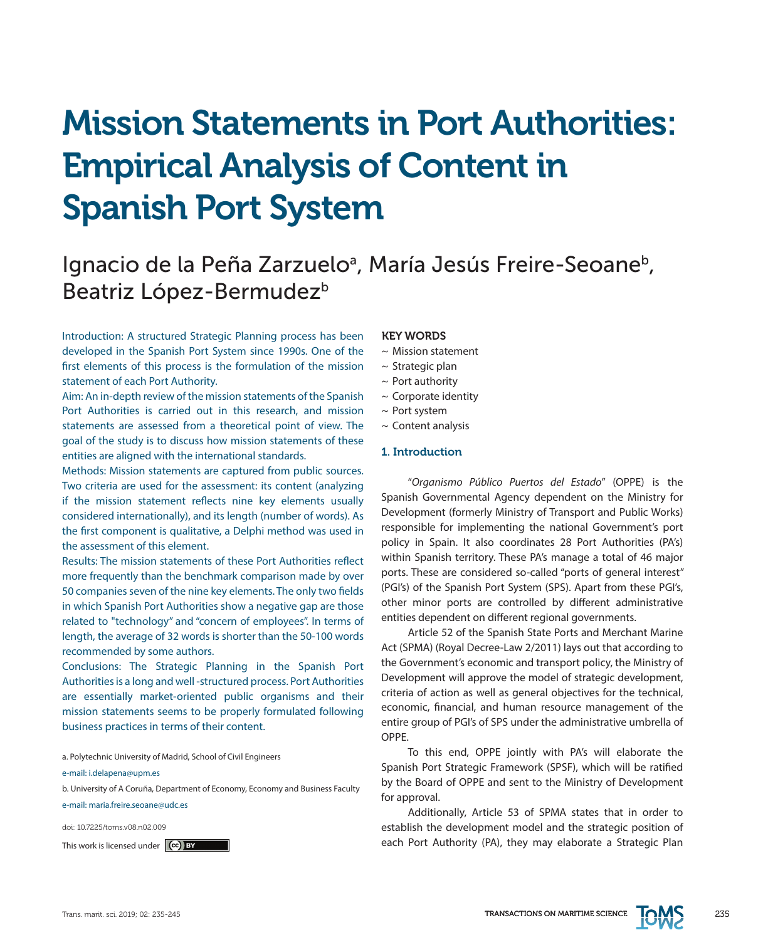# Mission Statements in Port Authorities: Empirical Analysis of Content in Spanish Port System

## Ignacio de la Peña Zarzuelo<sup>a</sup>, María Jesús Freire-Seoane<sup>b</sup>, Beatriz López-Bermudez<sup>b</sup>

Introduction: A structured Strategic Planning process has been developed in the Spanish Port System since 1990s. One of the first elements of this process is the formulation of the mission statement of each Port Authority.

Aim: An in-depth review of the mission statements of the Spanish Port Authorities is carried out in this research, and mission statements are assessed from a theoretical point of view. The goal of the study is to discuss how mission statements of these entities are aligned with the international standards.

Methods: Mission statements are captured from public sources. Two criteria are used for the assessment: its content (analyzing if the mission statement reflects nine key elements usually considered internationally), and its length (number of words). As the first component is qualitative, a Delphi method was used in the assessment of this element.

Results: The mission statements of these Port Authorities reflect more frequently than the benchmark comparison made by over 50 companies seven of the nine key elements. The only two fields in which Spanish Port Authorities show a negative gap are those related to "technology" and "concern of employees". In terms of length, the average of 32 words is shorter than the 50-100 words recommended by some authors.

Conclusions: The Strategic Planning in the Spanish Port Authorities is a long and well -structured process. Port Authorities are essentially market-oriented public organisms and their mission statements seems to be properly formulated following business practices in terms of their content.

a. Polytechnic University of Madrid, School of Civil Engineers

e-mail: i.delapena@upm.es

b. University of A Coruña, Department of Economy, Economy and Business Faculty e-mail: maria.freire.seoane@udc.es

doi: 10.7225/toms.v08.n02.009

This work is licensed under (cc) BY

#### KEY WORDS

- ~ Mission statement
- $\sim$  Strategic plan
- $\sim$  Port authority
- ~ Corporate identity
- ~ Port system
- $\sim$  Content analysis

#### 1. Introduction

"*Organismo Público Puertos del Estado*" (OPPE) is the Spanish Governmental Agency dependent on the Ministry for Development (formerly Ministry of Transport and Public Works) responsible for implementing the national Government's port policy in Spain. It also coordinates 28 Port Authorities (PA's) within Spanish territory. These PA's manage a total of 46 major ports. These are considered so-called "ports of general interest" (PGI's) of the Spanish Port System (SPS). Apart from these PGI's, other minor ports are controlled by different administrative entities dependent on different regional governments.

Article 52 of the Spanish State Ports and Merchant Marine Act (SPMA) (Royal Decree-Law 2/2011) lays out that according to the Government's economic and transport policy, the Ministry of Development will approve the model of strategic development, criteria of action as well as general objectives for the technical, economic, financial, and human resource management of the entire group of PGI's of SPS under the administrative umbrella of OPPE.

To this end, OPPE jointly with PA's will elaborate the Spanish Port Strategic Framework (SPSF), which will be ratified by the Board of OPPE and sent to the Ministry of Development for approval.

Additionally, Article 53 of SPMA states that in order to establish the development model and the strategic position of each Port Authority (PA), they may elaborate a Strategic Plan

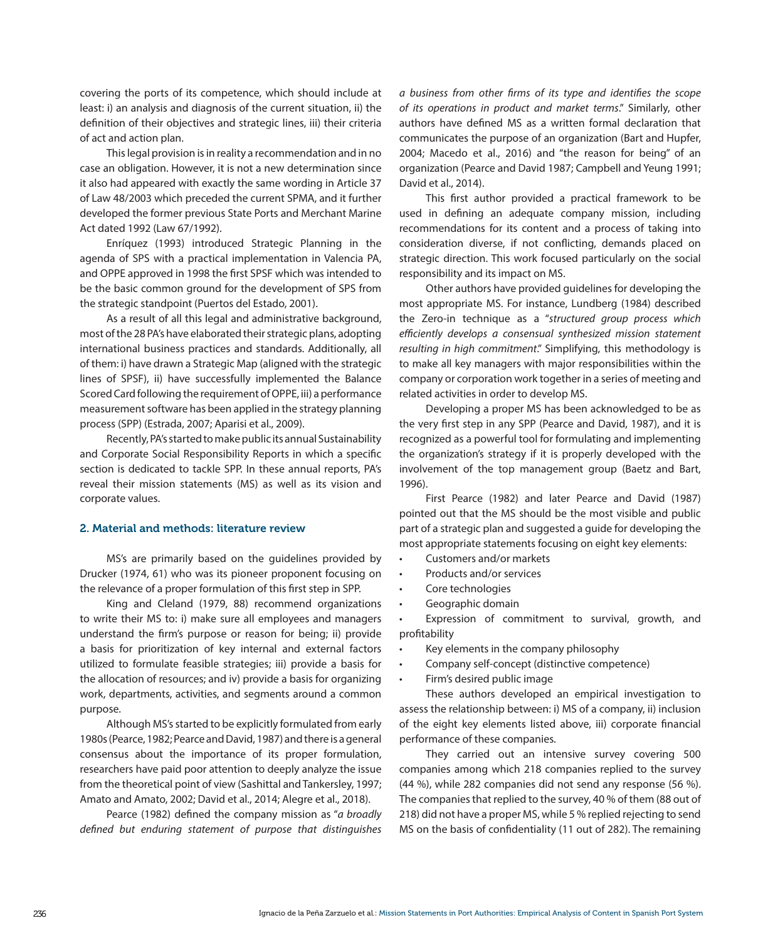covering the ports of its competence, which should include at least: i) an analysis and diagnosis of the current situation, ii) the definition of their objectives and strategic lines, iii) their criteria of act and action plan.

This legal provision is in reality a recommendation and in no case an obligation. However, it is not a new determination since it also had appeared with exactly the same wording in Article 37 of Law 48/2003 which preceded the current SPMA, and it further developed the former previous State Ports and Merchant Marine Act dated 1992 (Law 67/1992).

Enríquez (1993) introduced Strategic Planning in the agenda of SPS with a practical implementation in Valencia PA, and OPPE approved in 1998 the first SPSF which was intended to be the basic common ground for the development of SPS from the strategic standpoint (Puertos del Estado, 2001).

As a result of all this legal and administrative background, most of the 28 PA's have elaborated their strategic plans, adopting international business practices and standards. Additionally, all of them: i) have drawn a Strategic Map (aligned with the strategic lines of SPSF), ii) have successfully implemented the Balance Scored Card following the requirement of OPPE, iii) a performance measurement software has been applied in the strategy planning process (SPP) (Estrada, 2007; Aparisi et al., 2009).

Recently, PA's started to make public its annual Sustainability and Corporate Social Responsibility Reports in which a specific section is dedicated to tackle SPP. In these annual reports, PA's reveal their mission statements (MS) as well as its vision and corporate values.

#### 2. Material and methods: literature review

MS's are primarily based on the guidelines provided by Drucker (1974, 61) who was its pioneer proponent focusing on the relevance of a proper formulation of this first step in SPP.

King and Cleland (1979, 88) recommend organizations to write their MS to: i) make sure all employees and managers understand the firm's purpose or reason for being; ii) provide a basis for prioritization of key internal and external factors utilized to formulate feasible strategies; iii) provide a basis for the allocation of resources; and iv) provide a basis for organizing work, departments, activities, and segments around a common purpose.

Although MS's started to be explicitly formulated from early 1980s (Pearce, 1982; Pearce and David, 1987) and there is a general consensus about the importance of its proper formulation, researchers have paid poor attention to deeply analyze the issue from the theoretical point of view (Sashittal and Tankersley, 1997; Amato and Amato, 2002; David et al., 2014; Alegre et al., 2018).

Pearce (1982) defined the company mission as "*a broadly defined but enduring statement of purpose that distinguishes*  *a business from other firms of its type and identifies the scope of its operations in product and market terms*." Similarly, other authors have defined MS as a written formal declaration that communicates the purpose of an organization (Bart and Hupfer, 2004; Macedo et al., 2016) and "the reason for being" of an organization (Pearce and David 1987; Campbell and Yeung 1991; David et al., 2014).

This first author provided a practical framework to be used in defining an adequate company mission, including recommendations for its content and a process of taking into consideration diverse, if not conflicting, demands placed on strategic direction. This work focused particularly on the social responsibility and its impact on MS.

Other authors have provided guidelines for developing the most appropriate MS. For instance, Lundberg (1984) described the Zero-in technique as a "*structured group process which efficiently develops a consensual synthesized mission statement resulting in high commitment*." Simplifying, this methodology is to make all key managers with major responsibilities within the company or corporation work together in a series of meeting and related activities in order to develop MS.

Developing a proper MS has been acknowledged to be as the very first step in any SPP (Pearce and David, 1987), and it is recognized as a powerful tool for formulating and implementing the organization's strategy if it is properly developed with the involvement of the top management group (Baetz and Bart, 1996).

First Pearce (1982) and later Pearce and David (1987) pointed out that the MS should be the most visible and public part of a strategic plan and suggested a guide for developing the most appropriate statements focusing on eight key elements:

- • Customers and/or markets
- Products and/or services
- Core technologies
- • Geographic domain

Expression of commitment to survival, growth, and profitability

- Key elements in the company philosophy
- Company self-concept (distinctive competence)
- Firm's desired public image

These authors developed an empirical investigation to assess the relationship between: i) MS of a company, ii) inclusion of the eight key elements listed above, iii) corporate financial performance of these companies.

They carried out an intensive survey covering 500 companies among which 218 companies replied to the survey (44 %), while 282 companies did not send any response (56 %). The companies that replied to the survey, 40 % of them (88 out of 218) did not have a proper MS, while 5 % replied rejecting to send MS on the basis of confidentiality (11 out of 282). The remaining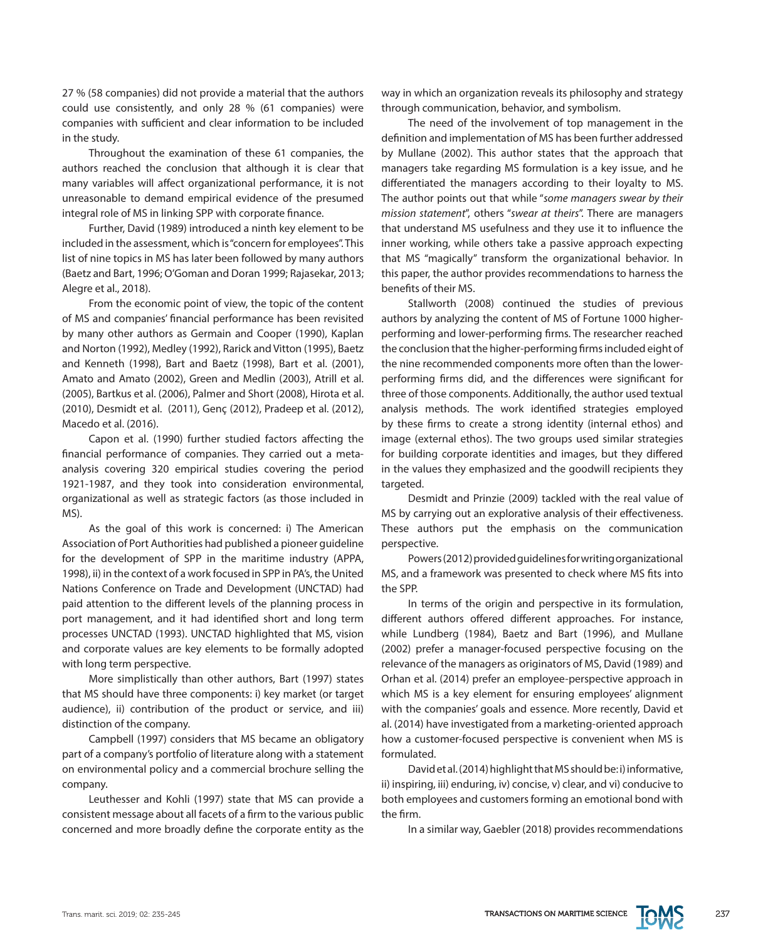27 % (58 companies) did not provide a material that the authors could use consistently, and only 28 % (61 companies) were companies with sufficient and clear information to be included in the study.

Throughout the examination of these 61 companies, the authors reached the conclusion that although it is clear that many variables will affect organizational performance, it is not unreasonable to demand empirical evidence of the presumed integral role of MS in linking SPP with corporate finance.

Further, David (1989) introduced a ninth key element to be included in the assessment, which is "concern for employees". This list of nine topics in MS has later been followed by many authors (Baetz and Bart, 1996; O'Goman and Doran 1999; Rajasekar, 2013; Alegre et al., 2018).

From the economic point of view, the topic of the content of MS and companies' financial performance has been revisited by many other authors as Germain and Cooper (1990), Kaplan and Norton (1992), Medley (1992), Rarick and Vitton (1995), Baetz and Kenneth (1998), Bart and Baetz (1998), Bart et al. (2001), Amato and Amato (2002), Green and Medlin (2003), Atrill et al. (2005), Bartkus et al. (2006), Palmer and Short (2008), Hirota et al. (2010), Desmidt et al. (2011), Genç (2012), Pradeep et al. (2012), Macedo et al. (2016).

Capon et al. (1990) further studied factors affecting the financial performance of companies. They carried out a metaanalysis covering 320 empirical studies covering the period 1921-1987, and they took into consideration environmental, organizational as well as strategic factors (as those included in MS).

As the goal of this work is concerned: i) The American Association of Port Authorities had published a pioneer guideline for the development of SPP in the maritime industry (APPA, 1998), ii) in the context of a work focused in SPP in PA's, the United Nations Conference on Trade and Development (UNCTAD) had paid attention to the different levels of the planning process in port management, and it had identified short and long term processes UNCTAD (1993). UNCTAD highlighted that MS, vision and corporate values are key elements to be formally adopted with long term perspective.

More simplistically than other authors, Bart (1997) states that MS should have three components: i) key market (or target audience), ii) contribution of the product or service, and iii) distinction of the company.

Campbell (1997) considers that MS became an obligatory part of a company's portfolio of literature along with a statement on environmental policy and a commercial brochure selling the company.

Leuthesser and Kohli (1997) state that MS can provide a consistent message about all facets of a firm to the various public concerned and more broadly define the corporate entity as the way in which an organization reveals its philosophy and strategy through communication, behavior, and symbolism.

The need of the involvement of top management in the definition and implementation of MS has been further addressed by Mullane (2002). This author states that the approach that managers take regarding MS formulation is a key issue, and he differentiated the managers according to their loyalty to MS. The author points out that while "*some managers swear by their mission statement*", others "*swear at theirs*". There are managers that understand MS usefulness and they use it to influence the inner working, while others take a passive approach expecting that MS "magically" transform the organizational behavior. In this paper, the author provides recommendations to harness the benefits of their MS.

Stallworth (2008) continued the studies of previous authors by analyzing the content of MS of Fortune 1000 higherperforming and lower-performing firms. The researcher reached the conclusion that the higher-performing firms included eight of the nine recommended components more often than the lowerperforming firms did, and the differences were significant for three of those components. Additionally, the author used textual analysis methods. The work identified strategies employed by these firms to create a strong identity (internal ethos) and image (external ethos). The two groups used similar strategies for building corporate identities and images, but they differed in the values they emphasized and the goodwill recipients they targeted.

Desmidt and Prinzie (2009) tackled with the real value of MS by carrying out an explorative analysis of their effectiveness. These authors put the emphasis on the communication perspective.

Powers (2012) provided guidelines for writing organizational MS, and a framework was presented to check where MS fits into the SPP.

In terms of the origin and perspective in its formulation, different authors offered different approaches. For instance, while Lundberg (1984), Baetz and Bart (1996), and Mullane (2002) prefer a manager-focused perspective focusing on the relevance of the managers as originators of MS, David (1989) and Orhan et al. (2014) prefer an employee-perspective approach in which MS is a key element for ensuring employees' alignment with the companies' goals and essence. More recently, David et al. (2014) have investigated from a marketing-oriented approach how a customer-focused perspective is convenient when MS is formulated.

David et al. (2014) highlight that MS should be: i) informative, ii) inspiring, iii) enduring, iv) concise, v) clear, and vi) conducive to both employees and customers forming an emotional bond with the firm.

In a similar way, Gaebler (2018) provides recommendations

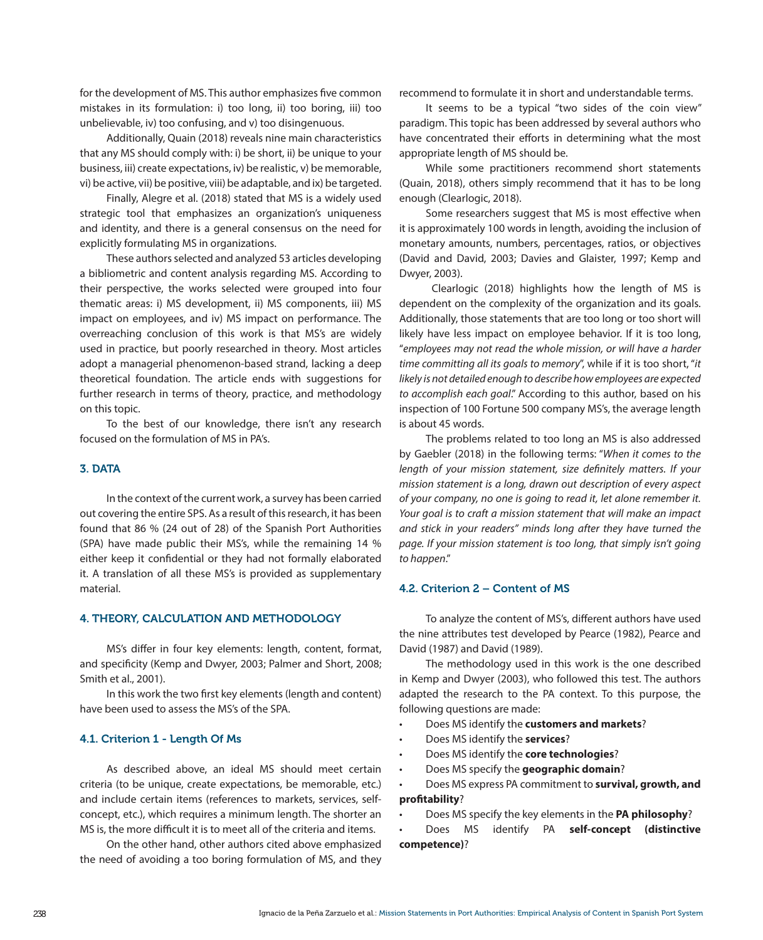for the development of MS. This author emphasizes five common mistakes in its formulation: i) too long, ii) too boring, iii) too unbelievable, iv) too confusing, and v) too disingenuous.

Additionally, Quain (2018) reveals nine main characteristics that any MS should comply with: i) be short, ii) be unique to your business, iii) create expectations, iv) be realistic, v) be memorable, vi) be active, vii) be positive, viii) be adaptable, and ix) be targeted.

Finally, Alegre et al. (2018) stated that MS is a widely used strategic tool that emphasizes an organization's uniqueness and identity, and there is a general consensus on the need for explicitly formulating MS in organizations.

These authors selected and analyzed 53 articles developing a bibliometric and content analysis regarding MS. According to their perspective, the works selected were grouped into four thematic areas: i) MS development, ii) MS components, iii) MS impact on employees, and iv) MS impact on performance. The overreaching conclusion of this work is that MS's are widely used in practice, but poorly researched in theory. Most articles adopt a managerial phenomenon-based strand, lacking a deep theoretical foundation. The article ends with suggestions for further research in terms of theory, practice, and methodology on this topic.

To the best of our knowledge, there isn't any research focused on the formulation of MS in PA's.

#### 3. DATA

In the context of the current work, a survey has been carried out covering the entire SPS. As a result of this research, it has been found that 86 % (24 out of 28) of the Spanish Port Authorities (SPA) have made public their MS's, while the remaining 14 % either keep it confidential or they had not formally elaborated it. A translation of all these MS's is provided as supplementary material.

#### 4. THEORY, CALCULATION AND METHODOLOGY

MS's differ in four key elements: length, content, format, and specificity (Kemp and Dwyer, 2003; Palmer and Short, 2008; Smith et al., 2001).

In this work the two first key elements (length and content) have been used to assess the MS's of the SPA.

#### 4.1. Criterion 1 - Length Of Ms

As described above, an ideal MS should meet certain criteria (to be unique, create expectations, be memorable, etc.) and include certain items (references to markets, services, selfconcept, etc.), which requires a minimum length. The shorter an MS is, the more difficult it is to meet all of the criteria and items.

On the other hand, other authors cited above emphasized the need of avoiding a too boring formulation of MS, and they

recommend to formulate it in short and understandable terms.

It seems to be a typical "two sides of the coin view" paradigm. This topic has been addressed by several authors who have concentrated their efforts in determining what the most appropriate length of MS should be.

While some practitioners recommend short statements (Quain, 2018), others simply recommend that it has to be long enough (Clearlogic, 2018).

Some researchers suggest that MS is most effective when it is approximately 100 words in length, avoiding the inclusion of monetary amounts, numbers, percentages, ratios, or objectives (David and David, 2003; Davies and Glaister, 1997; Kemp and Dwyer, 2003).

 Clearlogic (2018) highlights how the length of MS is dependent on the complexity of the organization and its goals. Additionally, those statements that are too long or too short will likely have less impact on employee behavior. If it is too long, "*employees may not read the whole mission, or will have a harder time committing all its goals to memory*", while if it is too short, "*it likely is not detailed enough to describe how employees are expected to accomplish each goal*." According to this author, based on his inspection of 100 Fortune 500 company MS's, the average length is about 45 words.

The problems related to too long an MS is also addressed by Gaebler (2018) in the following terms: "*When it comes to the length of your mission statement, size definitely matters. If your mission statement is a long, drawn out description of every aspect of your company, no one is going to read it, let alone remember it. Your goal is to craft a mission statement that will make an impact and stick in your readers" minds long after they have turned the page. If your mission statement is too long, that simply isn't going to happen*."

#### 4.2. Criterion 2 – Content of MS

To analyze the content of MS's, different authors have used the nine attributes test developed by Pearce (1982), Pearce and David (1987) and David (1989).

The methodology used in this work is the one described in Kemp and Dwyer (2003), who followed this test. The authors adapted the research to the PA context. To this purpose, the following questions are made:

- • Does MS identify the **customers and markets**?
- Does MS identify the **services**?
- Does MS identify the **core technologies**?
- • Does MS specify the **geographic domain**?

• Does MS express PA commitment to **survival, growth, and profitability**?

Does MS specify the key elements in the **PA philosophy**?

Does MS identify PA self-concept (distinctive **competence)**?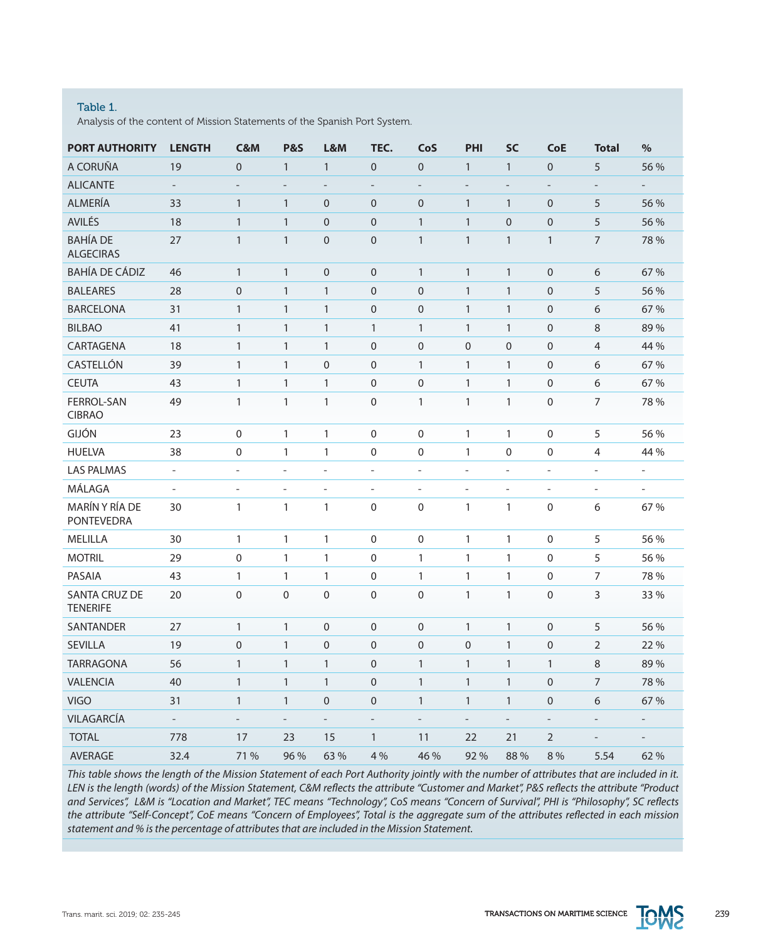#### Table 1.

Analysis of the content of Mission Statements of the Spanish Port System.

| <b>PORT AUTHORITY</b>                   | <b>LENGTH</b>            | <b>C&amp;M</b>           | <b>P&amp;S</b>           | L&M               | TEC.                     | CoS                      | PHI                      | <b>SC</b>         | <b>CoE</b>               | <b>Total</b>             | $\%$                     |
|-----------------------------------------|--------------------------|--------------------------|--------------------------|-------------------|--------------------------|--------------------------|--------------------------|-------------------|--------------------------|--------------------------|--------------------------|
| A CORUÑA                                | 19                       | $\overline{0}$           | $\mathbf{1}$             | $\mathbf{1}$      | $\overline{0}$           | $\overline{0}$           | $\mathbf{1}$             | $\mathbf{1}$      | $\overline{0}$           | 5                        | 56 %                     |
| <b>ALICANTE</b>                         | $\overline{\phantom{a}}$ | $\overline{\phantom{m}}$ | $\overline{a}$           | $\overline{a}$    | $\overline{\phantom{a}}$ | $\qquad \qquad -$        | $\overline{a}$           | $\overline{a}$    | $\overline{a}$           | $\qquad \qquad -$        |                          |
| ALMERÍA                                 | 33                       | $\mathbf{1}$             | $\mathbf{1}$             | $\mathbf 0$       | $\boldsymbol{0}$         | 0                        | $\mathbf{1}$             | $\mathbf{1}$      | $\mathbf 0$              | 5                        | 56 %                     |
| AVILÉS                                  | 18                       | $\mathbf{1}$             | $\mathbf{1}$             | $\mathbf{0}$      | $\mathbf 0$              | 1                        | $\mathbf{1}$             | $\mathbf{0}$      | $\overline{0}$           | 5                        | 56 %                     |
| <b>BAHÍA DE</b><br><b>ALGECIRAS</b>     | 27                       | $\mathbf{1}$             | $\mathbf{1}$             | $\overline{0}$    | $\mathsf{O}\xspace$      | $\mathbf{1}$             | $\mathbf{1}$             | $\mathbf{1}$      | $\mathbf{1}$             | $\overline{7}$           | 78 %                     |
| <b>BAHÍA DE CÁDIZ</b>                   | 46                       | $\mathbf{1}$             | $\mathbf{1}$             | $\overline{0}$    | $\mathbf{0}$             | $\mathbf{1}$             | $\mathbf{1}$             | $\mathbf{1}$      | $\mathbf 0$              | 6                        | 67 %                     |
| <b>BALEARES</b>                         | 28                       | $\overline{0}$           | $\mathbf{1}$             | $\mathbf{1}$      | $\overline{0}$           | $\overline{0}$           | $\mathbf{1}$             | $\mathbf{1}$      | $\overline{0}$           | 5                        | 56 %                     |
| <b>BARCELONA</b>                        | 31                       | $\mathbf{1}$             | $\mathbf{1}$             | $\mathbf{1}$      | $\mathbf 0$              | $\mathbf 0$              | $\mathbf{1}$             | $\mathbf{1}$      | $\mathbf 0$              | 6                        | 67 %                     |
| <b>BILBAO</b>                           | 41                       | $\mathbf{1}$             | $\mathbf{1}$             | $\mathbf{1}$      | $\mathbf{1}$             | $\mathbf{1}$             | $\mathbf{1}$             | $\mathbf{1}$      | $\mathbf 0$              | 8                        | 89%                      |
| CARTAGENA                               | 18                       | $\mathbf{1}$             | $\mathbf{1}$             | $\mathbf{1}$      | $\overline{0}$           | $\pmb{0}$                | $\mathbf 0$              | $\mathbf 0$       | $\mathbf 0$              | $\overline{4}$           | 44 %                     |
| CASTELLÓN                               | 39                       | $\mathbf{1}$             | $\mathbf{1}$             | $\mathbf 0$       | $\mathbf 0$              | $\mathbf{1}$             | $\mathbf{1}$             | $\mathbf{1}$      | $\mathbf 0$              | 6                        | 67 %                     |
| <b>CEUTA</b>                            | 43                       | $\mathbf{1}$             | $\mathbf{1}$             | $\mathbf{1}$      | $\mathbf 0$              | $\mathbf 0$              | $\mathbf{1}$             | $\mathbf{1}$      | $\overline{0}$           | 6                        | 67 %                     |
| FERROL-SAN<br><b>CIBRAO</b>             | 49                       | $\mathbf{1}$             | $\mathbf{1}$             | $\mathbf{1}$      | $\Omega$                 | $\mathbf{1}$             | $\mathbf{1}$             | $\mathbf{1}$      | $\mathbf 0$              | $\overline{7}$           | 78 %                     |
| GIJÓN                                   | 23                       | 0                        | $\mathbf{1}$             | $\mathbf{1}$      | $\mathbf 0$              | $\mathbf 0$              | 1                        | $\mathbf{1}$      | $\mathbf 0$              | 5                        | 56 %                     |
| <b>HUELVA</b>                           | 38                       | $\mathbf 0$              | $\mathbf{1}$             | $\mathbf{1}$      | $\mathbf 0$              | 0                        | $\mathbf{1}$             | $\mathbf 0$       | $\mathbf 0$              | 4                        | 44 %                     |
| <b>LAS PALMAS</b>                       | $\overline{\phantom{a}}$ | $\overline{\phantom{a}}$ | $\qquad \qquad -$        | $\overline{a}$    | $\overline{\phantom{a}}$ | $\overline{\phantom{a}}$ | $\overline{\phantom{0}}$ | $\qquad \qquad -$ | $\overline{\phantom{0}}$ | $\overline{\phantom{a}}$ | $\overline{\phantom{a}}$ |
| MÁLAGA                                  | $\overline{\phantom{a}}$ | $\overline{\phantom{0}}$ | $\overline{a}$           | $\overline{a}$    | $\overline{\phantom{a}}$ | $\overline{\phantom{a}}$ | $\overline{a}$           | $\overline{a}$    | $\overline{\phantom{0}}$ | $\overline{\phantom{a}}$ | $\overline{\phantom{a}}$ |
| MARÍN Y RÍA DE<br><b>PONTEVEDRA</b>     | 30                       | $\mathbf{1}$             | $\mathbf{1}$             | $\mathbf{1}$      | $\mathbf 0$              | $\boldsymbol{0}$         | $\mathbf{1}$             | $\mathbf{1}$      | $\boldsymbol{0}$         | 6                        | 67 %                     |
| MELILLA                                 | 30                       | $\mathbf{1}$             | $\mathbf{1}$             | $\mathbf{1}$      | $\mathbf 0$              | 0                        | $\mathbf{1}$             | $\mathbf{1}$      | $\boldsymbol{0}$         | 5                        | 56 %                     |
| <b>MOTRIL</b>                           | 29                       | 0                        | $\mathbf{1}$             | $\mathbf{1}$      | 0                        | 1                        | $\mathbf{1}$             | $\mathbf{1}$      | $\mathbf 0$              | 5                        | 56 %                     |
| PASAIA                                  | 43                       | $\mathbf{1}$             | $\mathbf{1}$             | $\mathbf{1}$      | $\mathbf 0$              | $\mathbf{1}$             | $\mathbf{1}$             | $\mathbf{1}$      | $\boldsymbol{0}$         | $\overline{7}$           | 78 %                     |
| <b>SANTA CRUZ DE</b><br><b>TENERIFE</b> | 20                       | $\mathbf 0$              | $\mathbf 0$              | $\mathbf 0$       | $\mathbf{0}$             | $\mathbf 0$              | $\mathbf{1}$             | $\mathbf{1}$      | $\mathbf 0$              | 3                        | 33 %                     |
| <b>SANTANDER</b>                        | 27                       | $\mathbf{1}$             | $\mathbf{1}$             | $\overline{0}$    | $\overline{0}$           | $\mathbf 0$              | $\mathbf{1}$             | $\mathbf{1}$      | $\overline{0}$           | 5                        | 56 %                     |
| <b>SEVILLA</b>                          | 19                       | $\mathbf 0$              | $\mathbf{1}$             | $\overline{0}$    | $\overline{0}$           | $\overline{0}$           | $\mathbf{0}$             | $\mathbf{1}$      | $\overline{0}$           | $\overline{2}$           | 22 %                     |
| <b>TARRAGONA</b>                        | 56                       | $\mathbf{1}$             | $\mathbf{1}$             | $\mathbf{1}$      | $\mathbf 0$              | $\mathbf{1}$             | $\mathbf{1}$             | $\mathbf{1}$      | $\mathbf{1}$             | 8                        | 89%                      |
| <b>VALENCIA</b>                         | 40                       | $\mathbf{1}$             | $\mathbf{1}$             | $\mathbf{1}$      | $\mathbf 0$              | 1                        | $\mathbf{1}$             | $\mathbf{1}$      | $\mathbf 0$              | 7                        | 78 %                     |
| <b>VIGO</b>                             | 31                       | $\mathbf{1}$             | $\mathbf{1}$             | $\overline{0}$    | 0                        | 1                        | $\mathbf{1}$             | $\mathbf{1}$      | $\mathbf 0$              | 6                        | 67 %                     |
| VILAGARCÍA                              | $\blacksquare$           | $\qquad \qquad -$        | $\overline{\phantom{a}}$ | $\qquad \qquad -$ | $\overline{\phantom{a}}$ | $\overline{\phantom{a}}$ | $\overline{\phantom{a}}$ | $\overline{a}$    | $\qquad \qquad -$        | $\overline{\phantom{a}}$ | $\overline{\phantom{a}}$ |
| <b>TOTAL</b>                            | 778                      | 17                       | 23                       | 15                | $\mathbf{1}$             | 11                       | 22                       | 21                | $\overline{2}$           |                          |                          |
| <b>AVERAGE</b>                          | 32.4                     | 71 %                     | 96 %                     | 63 %              | 4 %                      | 46 %                     | 92%                      | 88 %              | 8 %                      | 5.54                     | 62 %                     |

*This table shows the length of the Mission Statement of each Port Authority jointly with the number of attributes that are included in it. LEN is the length (words) of the Mission Statement, C&M reflects the attribute "Customer and Market", P&S reflects the attribute "Product and Services", L&M is "Location and Market", TEC means "Technology", CoS means "Concern of Survival", PHI is "Philosophy", SC reflects the attribute "Self-Concept", CoE means "Concern of Employees", Total is the aggregate sum of the attributes reflected in each mission statement and % is the percentage of attributes that are included in the Mission Statement.*

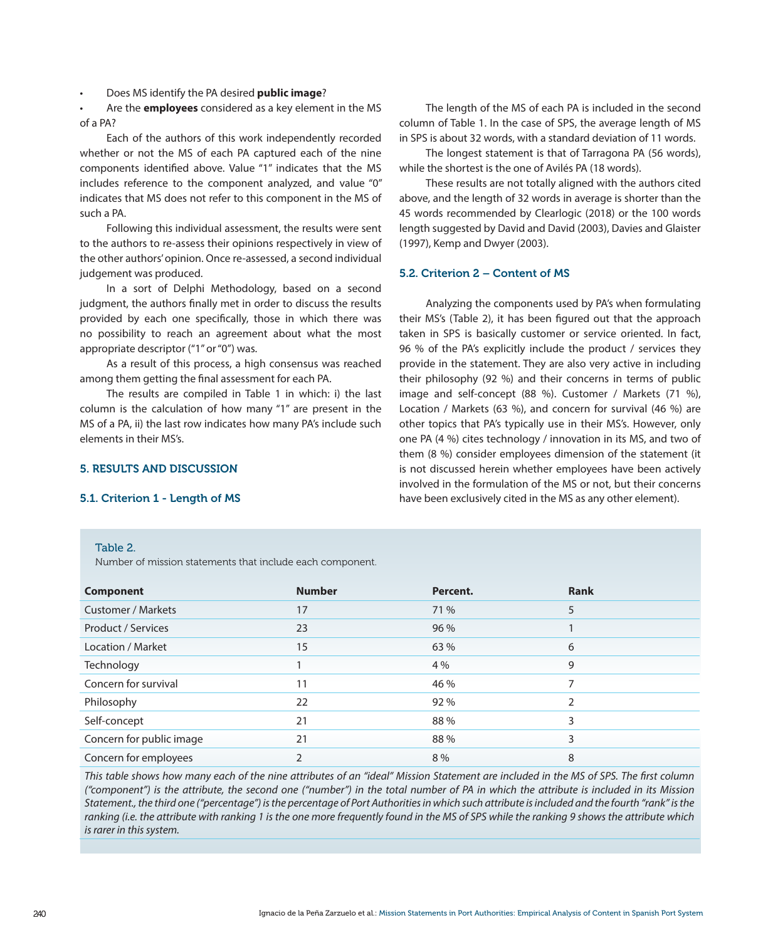Does MS identify the PA desired **public image**?

Are the **employees** considered as a key element in the MS of a PA?

Each of the authors of this work independently recorded whether or not the MS of each PA captured each of the nine components identified above. Value "1" indicates that the MS includes reference to the component analyzed, and value "0" indicates that MS does not refer to this component in the MS of such a PA.

Following this individual assessment, the results were sent to the authors to re-assess their opinions respectively in view of the other authors' opinion. Once re-assessed, a second individual judgement was produced.

In a sort of Delphi Methodology, based on a second judgment, the authors finally met in order to discuss the results provided by each one specifically, those in which there was no possibility to reach an agreement about what the most appropriate descriptor ("1" or "0") was.

As a result of this process, a high consensus was reached among them getting the final assessment for each PA.

The results are compiled in Table 1 in which: i) the last column is the calculation of how many "1" are present in the MS of a PA, ii) the last row indicates how many PA's include such elements in their MS's.

Number of mission statements that include each component.

#### 5. RESULTS AND DISCUSSION

#### 5.1. Criterion 1 - Length of MS

Table 2.

The length of the MS of each PA is included in the second column of Table 1. In the case of SPS, the average length of MS in SPS is about 32 words, with a standard deviation of 11 words.

The longest statement is that of Tarragona PA (56 words), while the shortest is the one of Avilés PA (18 words).

These results are not totally aligned with the authors cited above, and the length of 32 words in average is shorter than the 45 words recommended by Clearlogic (2018) or the 100 words length suggested by David and David (2003), Davies and Glaister (1997), Kemp and Dwyer (2003).

#### 5.2. Criterion 2 – Content of MS

Analyzing the components used by PA's when formulating their MS's (Table 2), it has been figured out that the approach taken in SPS is basically customer or service oriented. In fact, 96 % of the PA's explicitly include the product / services they provide in the statement. They are also very active in including their philosophy (92 %) and their concerns in terms of public image and self-concept (88 %). Customer / Markets (71 %), Location / Markets (63 %), and concern for survival (46 %) are other topics that PA's typically use in their MS's. However, only one PA (4 %) cites technology / innovation in its MS, and two of them (8 %) consider employees dimension of the statement (it is not discussed herein whether employees have been actively involved in the formulation of the MS or not, but their concerns have been exclusively cited in the MS as any other element).

### **Component Number Percent. Rank** Customer / Markets 17 71 % 5 Product / Services 23 96 % 1 Location / Market 63 % 6 Technology 1 4 % 9 Concern for survival and the contract of the 11 and 46 % 7 and 46 % 7 and 7 and 7 and 7 and 7 and 7 and 7 and 7 and 7 and 7 and 7 and 7 and 7 and 7 and 7 and 7 and 7 and 7 and 7 and 7 and 7 and 7 and 7 and 7 and 7 and 7 an Philosophy 22 92 % 2 Self-concept 21 88 % 3 Concern for public image  $21$  21 88 % 3 Concern for employees 2 8 % 8

*This table shows how many each of the nine attributes of an "ideal" Mission Statement are included in the MS of SPS. The first column ("component") is the attribute, the second one ("number") in the total number of PA in which the attribute is included in its Mission Statement., the third one ("percentage") is the percentage of Port Authorities in which such attribute is included and the fourth "rank" is the ranking (i.e. the attribute with ranking 1 is the one more frequently found in the MS of SPS while the ranking 9 shows the attribute which is rarer in this system.*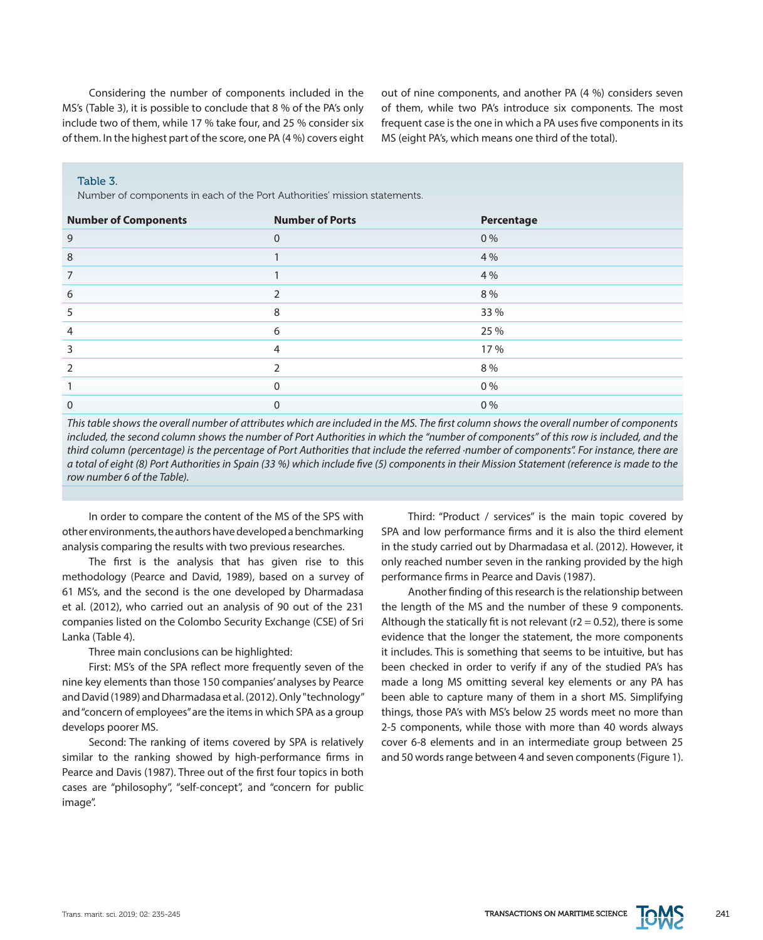Considering the number of components included in the MS's (Table 3), it is possible to conclude that 8 % of the PA's only include two of them, while 17 % take four, and 25 % consider six of them. In the highest part of the score, one PA (4 %) covers eight out of nine components, and another PA (4 %) considers seven of them, while two PA's introduce six components. The most frequent case is the one in which a PA uses five components in its MS (eight PA's, which means one third of the total).

#### Table 3.

Number of components in each of the Port Authorities' mission statements.

| <b>Number of Components</b> | <b>Number of Ports</b> | Percentage |
|-----------------------------|------------------------|------------|
| 9                           | $\Omega$               | 0%         |
| 8                           |                        | 4 %        |
| 7                           |                        | 4 %        |
| 6                           |                        | 8 %        |
| 5                           | 8                      | 33 %       |
| 4                           | 6                      | 25 %       |
| 3                           | 4                      | 17 %       |
| $\overline{2}$              |                        | 8%         |
|                             | <sup>0</sup>           | 0%         |
| $\Omega$                    |                        | 0%         |

*This table shows the overall number of attributes which are included in the MS. The first column shows the overall number of components included, the second column shows the number of Port Authorities in which the "number of components" of this row is included, and the third column (percentage) is the percentage of Port Authorities that include the referred ·number of components". For instance, there are a total of eight (8) Port Authorities in Spain (33 %) which include five (5) components in their Mission Statement (reference is made to the row number 6 of the Table).*

In order to compare the content of the MS of the SPS with other environments, the authors have developed a benchmarking analysis comparing the results with two previous researches.

The first is the analysis that has given rise to this methodology (Pearce and David, 1989), based on a survey of 61 MS's, and the second is the one developed by Dharmadasa et al. (2012), who carried out an analysis of 90 out of the 231 companies listed on the Colombo Security Exchange (CSE) of Sri Lanka (Table 4).

Three main conclusions can be highlighted:

First: MS's of the SPA reflect more frequently seven of the nine key elements than those 150 companies' analyses by Pearce and David (1989) and Dharmadasa et al. (2012). Only "technology" and "concern of employees" are the items in which SPA as a group develops poorer MS.

Second: The ranking of items covered by SPA is relatively similar to the ranking showed by high-performance firms in Pearce and Davis (1987). Three out of the first four topics in both cases are "philosophy", "self-concept", and "concern for public image".

Third: "Product / services" is the main topic covered by SPA and low performance firms and it is also the third element in the study carried out by Dharmadasa et al. (2012). However, it only reached number seven in the ranking provided by the high performance firms in Pearce and Davis (1987).

Another finding of this research is the relationship between the length of the MS and the number of these 9 components. Although the statically fit is not relevant ( $r2 = 0.52$ ), there is some evidence that the longer the statement, the more components it includes. This is something that seems to be intuitive, but has been checked in order to verify if any of the studied PA's has made a long MS omitting several key elements or any PA has been able to capture many of them in a short MS. Simplifying things, those PA's with MS's below 25 words meet no more than 2-5 components, while those with more than 40 words always cover 6-8 elements and in an intermediate group between 25 and 50 words range between 4 and seven components (Figure 1).

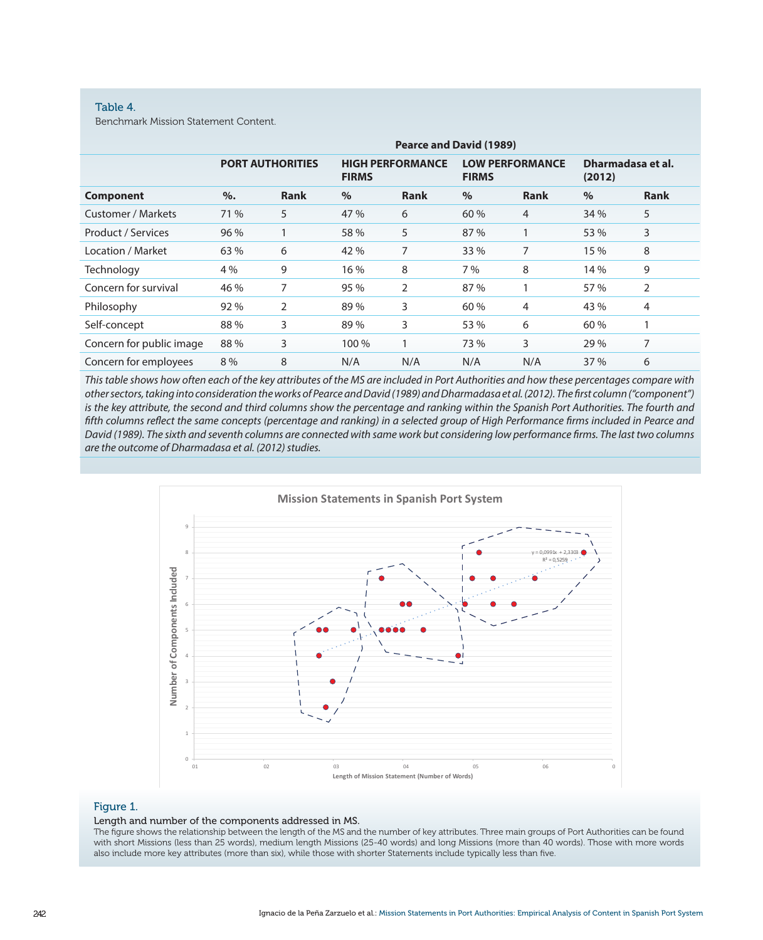#### Table 4.

Benchmark Mission Statement Content.

|                          | <b>Pearce and David (1989)</b> |             |                                         |             |                                        |                |                             |             |  |
|--------------------------|--------------------------------|-------------|-----------------------------------------|-------------|----------------------------------------|----------------|-----------------------------|-------------|--|
|                          | <b>PORT AUTHORITIES</b>        |             | <b>HIGH PERFORMANCE</b><br><b>FIRMS</b> |             | <b>LOW PERFORMANCE</b><br><b>FIRMS</b> |                | Dharmadasa et al.<br>(2012) |             |  |
| <b>Component</b>         | %                              | <b>Rank</b> | $\%$                                    | <b>Rank</b> | $\%$                                   | <b>Rank</b>    | $\%$                        | <b>Rank</b> |  |
| Customer / Markets       | 71 %                           | 5           | 47 %                                    | 6           | 60 %                                   | $\overline{4}$ | 34 %                        | 5           |  |
| Product / Services       | 96 %                           |             | 58 %                                    | 5           | 87 %                                   | $\mathbf{1}$   | 53 %                        | 3           |  |
| Location / Market        | 63 %                           | 6           | 42 %                                    | 7           | 33 %                                   | 7              | 15 %                        | 8           |  |
| Technology               | 4 %                            | 9           | 16 %                                    | 8           | 7%                                     | 8              | 14 %                        | 9           |  |
| Concern for survival     | 46 %                           | 7           | 95 %                                    | 2           | 87 %                                   |                | 57 %                        | 2           |  |
| Philosophy               | 92 %                           | 2           | 89%                                     | 3           | 60 %                                   | 4              | 43 %                        | 4           |  |
| Self-concept             | 88%                            | 3           | 89%                                     | 3           | 53 %                                   | 6              | 60 %                        |             |  |
| Concern for public image | 88%                            | 3           | 100 %                                   |             | 73 %                                   | 3              | 29 %                        | 7           |  |
| Concern for employees    | 8 %                            | 8           | N/A                                     | N/A         | N/A                                    | N/A            | 37 %                        | 6           |  |

*This table shows how often each of the key attributes of the MS are included in Port Authorities and how these percentages compare with other sectors, taking into consideration the works of Pearce and David (1989) and Dharmadasa et al. (2012). The first column ("component")*  is the key attribute, the second and third columns show the percentage and ranking within the Spanish Port Authorities. The fourth and *fifth columns reflect the same concepts (percentage and ranking) in a selected group of High Performance firms included in Pearce and David (1989). The sixth and seventh columns are connected with same work but considering low performance firms. The last two columns are the outcome of Dharmadasa et al. (2012) studies.*



#### Figure 1.

#### Length and number of the components addressed in MS.

The figure shows the relationship between the length of the MS and the number of key attributes. Three main groups of Port Authorities can be found with short Missions (less than 25 words), medium length Missions (25-40 words) and long Missions (more than 40 words). Those with more words also include more key attributes (more than six), while those with shorter Statements include typically less than five.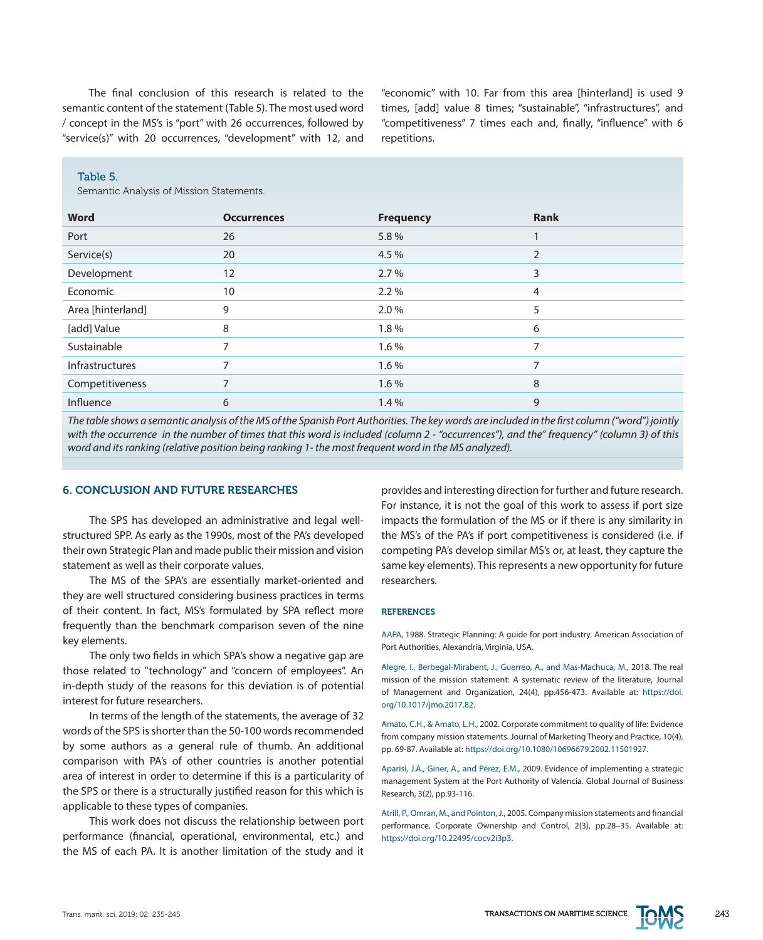The final conclusion of this research is related to the semantic content of the statement (Table 5). The most used word / concept in the MS's is "port" with 26 occurrences, followed by "service(s)" with 20 occurrences, "development" with 12, and "economic" with 10. Far from this area [hinterland] is used 9 times, [add] value 8 times; "sustainable", "infrastructures", and "competitiveness" 7 times each and, finally, "influence" with 6 repetitions.

#### Table 5.

Semantic Analysis of Mission Statements.

| <b>Word</b>            | <b>Occurrences</b>       | <b>Frequency</b> | <b>Rank</b>    |
|------------------------|--------------------------|------------------|----------------|
| Port                   | 26                       | 5.8%             |                |
| Service(s)             | 20                       | 4.5 %            | $\overline{2}$ |
| Development            | 12                       | 2.7%             | 3              |
| Economic               | 10                       | 2.2%             | 4              |
| Area [hinterland]      | 9                        | 2.0%             | 5              |
| [add] Value            | 8                        | 1.8%             | 6              |
| Sustainable            |                          | $1.6\%$          | $\overline{ }$ |
| <b>Infrastructures</b> |                          | 1.6%             |                |
| Competitiveness        | $\overline{\phantom{0}}$ | 1.6%             | 8              |
| Influence              | 6                        | 1.4%             | 9              |

*The table shows a semantic analysis of the MS of the Spanish Port Authorities. The key words are included in the first column ("word") jointly with the occurrence in the number of times that this word is included (column 2 - "occurrences"), and the" frequency" (column 3) of this word and its ranking (relative position being ranking 1- the most frequent word in the MS analyzed).*

#### 6. CONCLUSION AND FUTURE RESEARCHES

The SPS has developed an administrative and legal wellstructured SPP. As early as the 1990s, most of the PA's developed their own Strategic Plan and made public their mission and vision statement as well as their corporate values.

The MS of the SPA's are essentially market-oriented and they are well structured considering business practices in terms of their content. In fact, MS's formulated by SPA reflect more frequently than the benchmark comparison seven of the nine key elements.

The only two fields in which SPA's show a negative gap are those related to "technology" and "concern of employees". An in-depth study of the reasons for this deviation is of potential interest for future researchers.

In terms of the length of the statements, the average of 32 words of the SPS is shorter than the 50-100 words recommended by some authors as a general rule of thumb. An additional comparison with PA's of other countries is another potential area of interest in order to determine if this is a particularity of the SPS or there is a structurally justified reason for this which is applicable to these types of companies.

This work does not discuss the relationship between port performance (financial, operational, environmental, etc.) and the MS of each PA. It is another limitation of the study and it

provides and interesting direction for further and future research. For instance, it is not the goal of this work to assess if port size impacts the formulation of the MS or if there is any similarity in the MS's of the PA's if port competitiveness is considered (i.e. if competing PA's develop similar MS's or, at least, they capture the same key elements). This represents a new opportunity for future researchers.

#### **REFERENCES**

AAPA, 1988. Strategic Planning: A guide for port industry. American Association of Port Authorities, Alexandria, Virginia, USA.

Alegre, I., Berbegal-Mirabent, J., Guerreo, A., and Mas-Machuca, M., 2018. The real mission of the mission statement: A systematic review of the literature, Journal of Management and Organization, 24(4), pp.456-473. Available at: [https://doi.](https://doi.org/10.1017/jmo.2017.82) [org/10.1017/jmo.2017.82](https://doi.org/10.1017/jmo.2017.82).

Amato, C.H., & Amato, L.H., 2002. Corporate commitment to quality of life: Evidence from company mission statements. Journal of Marketing Theory and Practice, 10(4), pp. 69-87. Available at: [https://doi.org/10.1080/10696679.2002.11501927.](https://doi.org/10.1080/10696679.2002.11501927)

Aparisi, J.A., Giner, A., and Pérez, E.M., 2009. Evidence of implementing a strategic management System at the Port Authority of Valencia. Global Journal of Business Research, 3(2), pp.93-116.

Atrill, P., Omran, M., and Pointon, J., 2005. Company mission statements and financial performance, Corporate Ownership and Control, 2(3), pp.28–35. Available at: <https://doi.org/10.22495/cocv2i3p3>.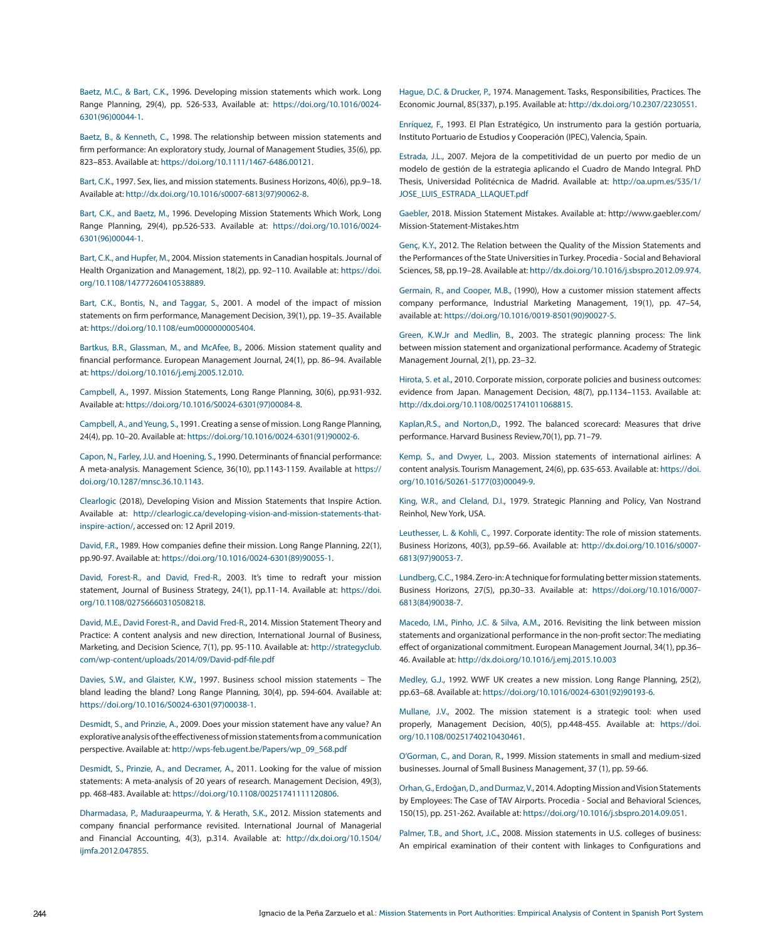Baetz, M.C., & Bart, C.K., 1996. Developing mission statements which work. Long Range Planning, 29(4), pp. 526-533, Available at: [https://doi.org/10.1016/0024-](https://doi.org/10.1016/0024-6301%2896%2900044-1) [6301\(96\)00044-1.](https://doi.org/10.1016/0024-6301%2896%2900044-1)

Baetz, B., & Kenneth, C., 1998. The relationship between mission statements and firm performance: An exploratory study, Journal of Management Studies, 35(6), pp. 823–853. Available at: [https://doi.org/10.1111/1467-6486.00121.](https://doi.org/10.1111/1467-6486.00121)

Bart, C.K., 1997. Sex, lies, and mission statements. Business Horizons, 40(6), pp.9–18. Available at: [http://dx.doi.org/10.1016/s0007-6813\(97\)90062-8](http://dx.doi.org/10.1016/s0007-6813%2897%2990062-8).

Bart, C.K., and Baetz, M., 1996. Developing Mission Statements Which Work, Long Range Planning, 29(4), pp.526-533. Available at: [https://doi.org/10.1016/0024-](https://doi.org/10.1016/0024-6301%2896%2900044-1) [6301\(96\)00044-1.](https://doi.org/10.1016/0024-6301%2896%2900044-1)

Bart, C.K., and Hupfer, M., 2004. Mission statements in Canadian hospitals. Journal of Health Organization and Management, 18(2), pp. 92–110. Available at: [https://doi.](https://doi.org/10.1108/14777260410538889) [org/10.1108/14777260410538889.](https://doi.org/10.1108/14777260410538889)

Bart, C.K., Bontis, N., and Taggar, S., 2001. A model of the impact of mission statements on firm performance, Management Decision, 39(1), pp. 19–35. Available at:<https://doi.org/10.1108/eum0000000005404>.

Bartkus, B.R., Glassman, M., and McAfee, B., 2006. Mission statement quality and financial performance. European Management Journal, 24(1), pp. 86–94. Available at:<https://doi.org/10.1016/j.emj.2005.12.010>.

Campbell, A., 1997. Mission Statements, Long Range Planning, 30(6), pp.931-932. Available at: [https://doi.org/10.1016/S0024-6301\(97\)00084-8.](https://doi.org/10.1016/S0024-6301%2897%2900084-8)

Campbell, A., and Yeung, S., 1991. Creating a sense of mission. Long Range Planning, 24(4), pp. 10–20. Available at: [https://doi.org/10.1016/0024-6301\(91\)90002-6.](https://doi.org/10.1016/0024-6301%2891%2990002-6)

Capon, N., Farley, J.U. and Hoening, S., 1990. Determinants of financial performance: A meta-analysis. Management Science, 36(10), pp.1143-1159. Available at [https://](https://doi.org/10.1287/mnsc.36.10.1143) [doi.org/10.1287/mnsc.36.10.1143](https://doi.org/10.1287/mnsc.36.10.1143).

Clearlogic (2018), Developing Vision and Mission Statements that Inspire Action. Available at: [http://clearlogic.ca/developing-vision-and-mission-statements-that](http://clearlogic.ca/developing-vision-and-mission-statements-that-inspire-action/)[inspire-action/](http://clearlogic.ca/developing-vision-and-mission-statements-that-inspire-action/), accessed on: 12 April 2019.

David, F.R., 1989. How companies define their mission. Long Range Planning, 22(1), pp.90-97. Available at: [https://doi.org/10.1016/0024-6301\(89\)90055-1](https://doi.org/10.1016/0024-6301%2889%2990055-1).

David, Forest-R., and David, Fred-R., 2003. It's time to redraft your mission statement, Journal of Business Strategy, 24(1), pp.11-14. Available at: [https://doi.](https://doi.org/10.1108/02756660310508218) [org/10.1108/02756660310508218.](https://doi.org/10.1108/02756660310508218)

David, M.E., David Forest-R., and David Fred-R., 2014. Mission Statement Theory and Practice: A content analysis and new direction, International Journal of Business, Marketing, and Decision Science, 7(1), pp. 95-110. Available at: [http://strategyclub.](http://strategyclub.com/wp-content/uploads/2014/09/David-pdf-file.pdf) [com/wp-content/uploads/2014/09/David-pdf-file.pdf](http://strategyclub.com/wp-content/uploads/2014/09/David-pdf-file.pdf)

Davies, S.W., and Glaister, K.W., 1997. Business school mission statements – The bland leading the bland? Long Range Planning, 30(4), pp. 594-604. Available at: [https://doi.org/10.1016/S0024-6301\(97\)00038-1](https://doi.org/10.1016/S0024-6301%2897%2900038-1).

Desmidt, S., and Prinzie, A., 2009. Does your mission statement have any value? An explorative analysis of the effectiveness of mission statements from a communication perspective. Available at: [http://wps-feb.ugent.be/Papers/wp\\_09\\_568.pdf](http://wps-feb.ugent.be/Papers/wp_09_568.pdf)

Desmidt, S., Prinzie, A., and Decramer, A., 2011. Looking for the value of mission statements: A meta-analysis of 20 years of research. Management Decision, 49(3), pp. 468-483. Available at: <https://doi.org/10.1108/00251741111120806>.

Dharmadasa, P., Maduraapeurma, Y. & Herath, S.K., 2012. Mission statements and company financial performance revisited. International Journal of Managerial and Financial Accounting, 4(3), p.314. Available at: [http://dx.doi.org/10.1504/](http://dx.doi.org/10.1504/ijmfa.2012.047855) [ijmfa.2012.047855](http://dx.doi.org/10.1504/ijmfa.2012.047855).

Hague, D.C. & Drucker, P., 1974. Management. Tasks, Responsibilities, Practices. The Economic Journal, 85(337), p.195. Available at:<http://dx.doi.org/10.2307/2230551>.

Enríquez, F., 1993. El Plan Estratégico, Un instrumento para la gestión portuaria, Instituto Portuario de Estudios y Cooperación (IPEC), Valencia, Spain.

Estrada, J.L., 2007. Mejora de la competitividad de un puerto por medio de un modelo de gestión de la estrategia aplicando el Cuadro de Mando Integral. PhD Thesis, Universidad Politécnica de Madrid. Available at: [http://oa.upm.es/535/1/](http://oa.upm.es/535/1/JOSE_LUIS_ESTRADA_LLAQUET.pdf) [JOSE\\_LUIS\\_ESTRADA\\_LLAQUET.pdf](http://oa.upm.es/535/1/JOSE_LUIS_ESTRADA_LLAQUET.pdf)

Gaebler, 2018. Mission Statement Mistakes. Available at: http://www.gaebler.com/ Mission-Statement-Mistakes.htm

Genç, K.Y., 2012. The Relation between the Quality of the Mission Statements and the Performances of the State Universities in Turkey. Procedia - Social and Behavioral Sciences, 58, pp.19–28. Available at:<http://dx.doi.org/10.1016/j.sbspro.2012.09.974>.

Germain, R., and Cooper, M.B., (1990), How a customer mission statement affects company performance, Industrial Marketing Management, 19(1), pp. 47–54, available at: [https://doi.org/10.1016/0019-8501\(90\)90027-S.](https://doi.org/10.1016/0019-8501%2890%2990027-S)

Green, K.W.Jr and Medlin, B., 2003. The strategic planning process: The link between mission statement and organizational performance. Academy of Strategic Management Journal, 2(1), pp. 23–32.

Hirota, S. et al., 2010. Corporate mission, corporate policies and business outcomes: evidence from Japan. Management Decision, 48(7), pp.1134–1153. Available at: [http://dx.doi.org/10.1108/00251741011068815.](http://dx.doi.org/10.1108/00251741011068815)

Kaplan,R.S., and Norton,D., 1992. The balanced scorecard: Measures that drive performance. Harvard Business Review,70(1), pp. 71–79.

Kemp, S., and Dwyer, L., 2003. Mission statements of international airlines: A content analysis. Tourism Management, 24(6), pp. 635-653. Available at: [https://doi.](https://doi.org/10.1016/S0261-5177%2803%2900049-9) [org/10.1016/S0261-5177\(03\)00049-9.](https://doi.org/10.1016/S0261-5177%2803%2900049-9)

King, W.R., and Cleland, D.I., 1979. Strategic Planning and Policy, Van Nostrand Reinhol, New York, USA.

Leuthesser, L. & Kohli, C., 1997. Corporate identity: The role of mission statements. Business Horizons, 40(3), pp.59–66. Available at: [http://dx.doi.org/10.1016/s0007-](http://dx.doi.org/10.1016/s0007-6813%2897%2990053-7) [6813\(97\)90053-7](http://dx.doi.org/10.1016/s0007-6813%2897%2990053-7).

Lundberg, C.C., 1984. Zero-in: A technique for formulating better mission statements. Business Horizons, 27(5), pp.30–33. Available at: [https://doi.org/10.1016/0007-](https://doi.org/10.1016/0007-6813%2884%2990038-7) [6813\(84\)90038-7](https://doi.org/10.1016/0007-6813%2884%2990038-7).

Macedo, I.M., Pinho, J.C. & Silva, A.M., 2016. Revisiting the link between mission statements and organizational performance in the non-profit sector: The mediating effect of organizational commitment. European Management Journal, 34(1), pp.36– 46. Available at: <http://dx.doi.org/10.1016/j.emj.2015.10.003>

Medley, G.J., 1992. WWF UK creates a new mission. Long Range Planning, 25(2), pp.63–68. Available at: [https://doi.org/10.1016/0024-6301\(92\)90193-6.](https://doi.org/10.1016/0024-6301%2892%2990193-6)

Mullane, J.V., 2002. The mission statement is a strategic tool: when used properly, Management Decision, 40(5), pp.448-455. Available at: [https://doi.](https://doi.org/10.1108/00251740210430461) [org/10.1108/00251740210430461.](https://doi.org/10.1108/00251740210430461)

O'Gorman, C., and Doran, R., 1999. Mission statements in small and medium-sized businesses. Journal of Small Business Management, 37 (1), pp. 59-66.

Orhan, G., Erdoğan, D., and Durmaz, V., 2014. Adopting Mission and Vision Statements by Employees: The Case of TAV Airports. Procedia - Social and Behavioral Sciences, 150(15), pp. 251-262. Available at: <https://doi.org/10.1016/j.sbspro.2014.09.051>.

Palmer, T.B., and Short, J.C., 2008. Mission statements in U.S. colleges of business: An empirical examination of their content with linkages to Configurations and